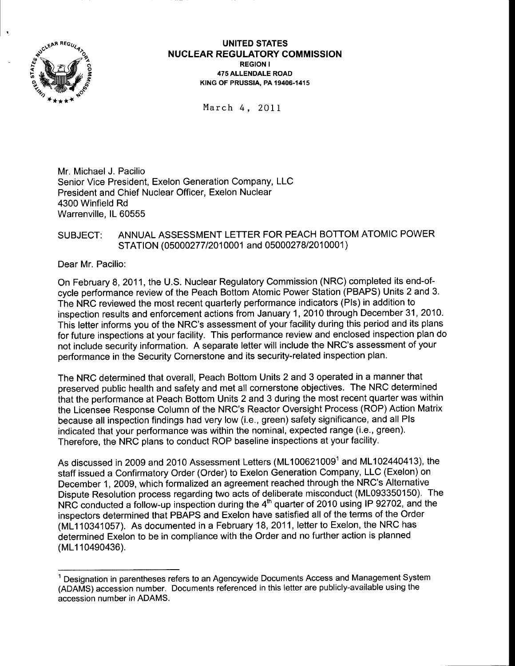

#### UNITED STATES <sup>N</sup>UCLEAR REGULATORY COMMISSION REGION I 475 ALLENDALE ROAD K|NG OF PRUSSIA. PA 19406-1415

March 4, 20LI

Mr. Michael J. Pacilio Senior Vice President, Exelon Generation Company, LLC President and Chief Nuclear Officer, Exelon Nuclear 4300 Winfield Rd Warrenville, lL 60555

### SUBJECT: ANNUAL ASSESSMENT LETTER FOR PEACH BOTTOM ATOMIC POWER STATION (05000277/2010001 and 05000278/2010001)

Dear Mr. Pacilio:

On February 8,2011, the U.S. Nuclear Regulatory Commission (NRC) completed its end-ofcycle performance review of the Peach Bottom Atomic Power Station (PBAPS) Units 2 and 3. The NRC reviewed the most recent quarterly performance indicators (Pls) in addition to inspection results and enforcement actions from January 1,2010 through December 31,2010. This letter informs you of the NRC's assessment of your facility during this period and its plans for future inspections at your facility. This performance review and enclosed inspection plan do not include security information. A separate letter will include the NRC's assessment of your performance in the Security Cornerstone and its security-related inspection plan.

The NRC determined that overall, Peach Bottom Units 2 and 3 operated in a manner that preserved public health and safety and met all cornerstone objectives. The NRC determined that the performance at Peach Bottom Units 2 and 3 during the most recent quarter was within the Licensee Response Column of the NRC's Reactor Oversight Process (ROP) Action Matrix because all inspection findings had very low (i.e., green) safety significance, and all Pls indicated that your performance was within the nominal, expected range (i.e., green). Therefore, the NRC plans to conduct ROP baseline inspections at your facility.

As discussed in 2009 and 2010 Assessment Letters (ML100621009<sup>1</sup> and ML102440413), the staff issued a Confirmatory Order (Order) to Exelon Generation Company, LLC (Exelon) on December 1, 2009, which formalized an agreement reached through the NRC's Alternative Dispute Resolution process regarding two acts of deliberate misconduct (ML093350150). The NRC conducted a follow-up inspection during the 4<sup>th</sup> quarter of 2010 using IP 92702, and the inspectors determined that PBAPS and Exelon have satisfied all of the terms of the Order (ML110341057). As documented in a February 18, 2011, letter to Exelon, the NRC has determined Exelon to be in compliance with the Order and no further action is planned (ML110490436).

<sup>&</sup>lt;sup>1</sup> Designation in parentheses refers to an Agencywide Documents Access and Management System (ADAMS) accession number. Documents referenced in this letter are publicly-available using the accession number in ADAMS.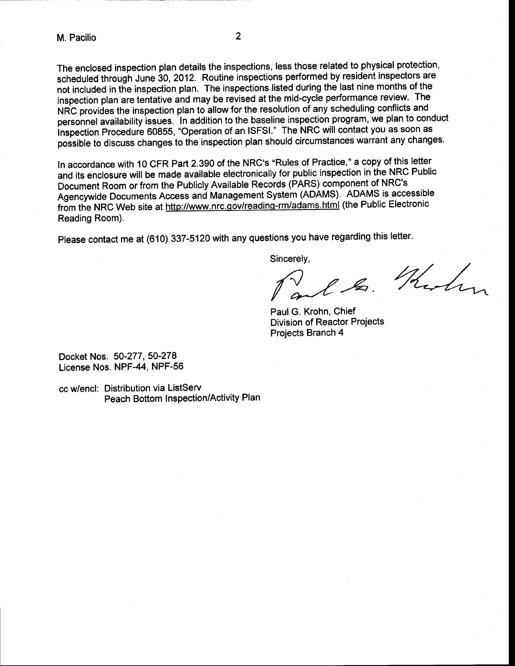The enclosed inspection plan details the inspections, less those related to physical protection, scheduled through June 30, 2012. Routine inspections performed by resident inspectors are not included in the inspection plan. The inspections listed during the last nine months of the inspection plan are tentative and may be revised at the mid-cycle performance review. The NRC provides the inspection plan to allow for the resolution of any scheduling conflicts and personnel availability issues. In addition to the baseline inspection program, we plan to conduct inspection Procedure 60855, "Operation of an lSFSl." The NRC will contact you as soon as possible to discuss changes to the inspection plan should circumstances warrant any changes.

ln accordance with 10 CFR Part 2.390 of the NRC's "Rules of Practice," a copy of this letter and its enclosure will be made available electronically for public inspection in the NRC Public Document Room or from the Publicly Available Records (PARS) component of NRC's Agencywide Documents Access and Management System (ADAMS). ADAMS is accessible from the NRC Web site at http://www.nrc.gov/reading-rm/adams.html (the Public Electronic Reading Room).

please contact me at (610) 337-5120 with any questions you have regarding this letter.

Sincerely,

B. Think

PaulG. Krohn, Chief Division of Reactor Projects Projects Branch 4

Docket Nos. 50-277, 50-278 License Nos. NPF-44, NPF-56

cc w/encl: Distribution via ListSérv Peach Bottom Inspection/Activity Plan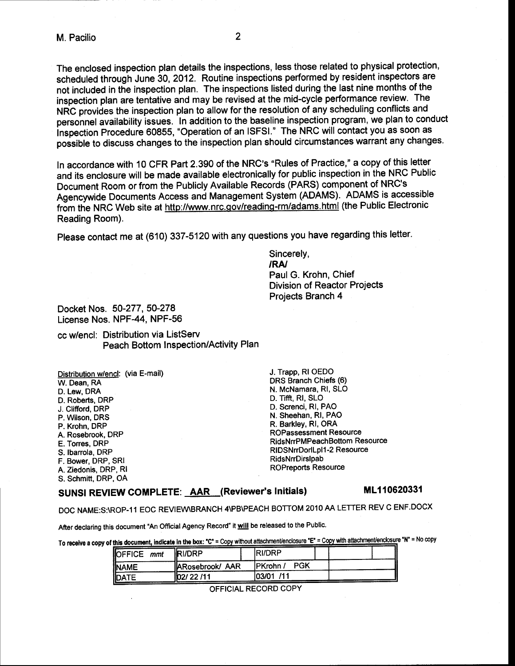The enclosed inspection plan details the inspections, less those related to physical protection, scheduled through June 30, 2012. Routine inspections performed by resident inspectors are not included in the inspection plan. The inspections listed during the last nine months of the inspection plan are tentative and may be revised at the mid-cycle performance review. The NRC provides the inspection plan to allow for the resolution of any scheduling conflicts and personnel availability issues. ln addition to the baseline inspection program, we plan to conduct inspection Procedure 60855, "Operation of an lSFSl." The NRC will contact you as soon as possible to discuss changes to the inspection plan should circumstances warrant any changes.

2

ln accordance with 10 CFR Part 2.390 of the NRC's "Rules of Practice," a copy of this letter and its enclosure will be made available electronically for public inspection in the NRC Public Document Room or from the Publicly Available Records (PARS) component of NRC's Agencywide Documents Access and Management System (ADAMS). AD4MS is accessible from the NRC Web site at http://www.nrc.gov/reading-rm/adams.html (the Public Electronic Reading Room).

please contact me at (610) 337-5120 with any questions you have regarding this letter.

Sincerely, /RA/ Paul G. Krohn, Chief Division of Reactor Projects Projects Branch 4

Docket Nos. 50-277, 50-278 License Nos. NPF-44, NPF-56

cc w/encl: Distribution via ListServ Peach Bottom Inspection/Activity Plan

Distribution w/encl: (via E-mail) W. Dean, RA D. Lew, DRA D. Roberts, DRP J. Clifford, DRP P. Wilson, DRS P. Krohn, DRP A. Rosebrook, DRP E. Torres, DRP S.lbarrola, DRP F. Bower, DRP, SRI A. Ziedonis, DRP, Rl S. Schmitt, DRP, OA

J. Trapp, Rl OEDO DRS Branch Chiefs (6) N. McNamara, Rl, SLO D. Tifff, Rl, slo D. Screnci, Rl, PAO N. Sheehan, Rl, PAO R. Barkley, Rl, ORA ROPassessment Resource RidsNrrPMPeachBotlom Resource RlDSNrrDorlLpll -2 Resource RidsNrrDirslpab ROPreports Resource

## SUNSI REVIEW COMPLETE: AAR (Reviewer's Initials) ML110620331

DOC NAME:S:\ROP-11 EOC REVIEW\BRANCH 4\PB\PEACH BOTTOM 2010 AA LETTER REV C ENF,DOCX

After declaring this document "An Official Agency Record" it will be released to the Public.

To receive a copy of this document, indicate in the box: "C" = Copy without attachment/enclosure "E" = Copy with attachment/enclosure "N" = No copy

| OFFICE mmt  | <b>RI/DRP</b>           | <b>IRI/DRP</b>   |  |
|-------------|-------------------------|------------------|--|
| <b>NAME</b> | <b>IARosebrook/ AAR</b> | PGK<br>IPKrohn / |  |
| DATE        | 102/22/11               | 103/01 / 11      |  |

OFFICIAL RECORD COPY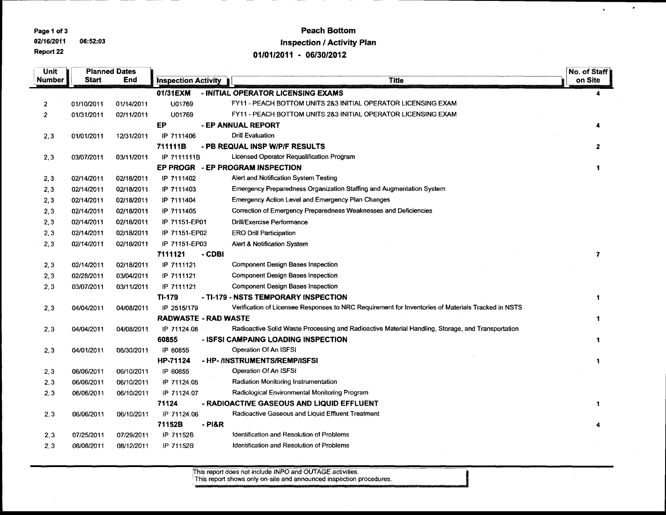Page 1 of 3

02/16/2011 06:52:03 Report 22

## **Peach Bottom Inspection / Activity Plan**

 $\pmb{\ast}$ 

 $\mathbf{r}$ 

01/01/2011 - 06/30/2012

| Unit           | <b>Planned Dates</b> |            |                             |                                                                                                    | No. of Staff |
|----------------|----------------------|------------|-----------------------------|----------------------------------------------------------------------------------------------------|--------------|
| Number         | Start                | End        | <b>Inspection Activity</b>  | <b>Title</b>                                                                                       | on Site      |
|                |                      |            | 01/31EXM                    | - INITIAL OPERATOR LICENSING EXAMS                                                                 | 4            |
| 2              | 01/10/2011           | 01/14/2011 | U01769                      | FY11 - PEACH BOTTOM UNITS 2&3 INITIAL OPERATOR LICENSING EXAM                                      |              |
| $\overline{2}$ | 01/31/2011           | 02/11/2011 | U01769                      | FY11 - PEACH BOTTOM UNITS 2&3 INITIAL OPERATOR LICENSING EXAM                                      |              |
|                |                      |            | EP                          | - EP ANNUAL REPORT                                                                                 |              |
| 2,3            | 01/01/2011           | 12/31/2011 | IP 7111406                  | <b>Drill Evaluation</b>                                                                            |              |
|                |                      |            | 711111B                     | - PB REQUAL INSP W/P/F RESULTS                                                                     | 2            |
| 2,3            | 03/07/2011           | 03/11/2011 | IP 7111111B                 | Licensed Operator Requalification Program                                                          |              |
|                |                      |            |                             | EP PROGR - EP PROGRAM INSPECTION                                                                   |              |
| 2,3            | 02/14/2011           | 02/18/2011 | IP 7111402                  | Alert and Notification System Testing                                                              |              |
| 2,3            | 02/14/2011           | 02/18/2011 | IP 7111403                  | Emergency Preparedness Organization Staffing and Augmentation System                               |              |
| 2, 3           | 02/14/2011           | 02/18/2011 | IP 7111404                  | <b>Emergency Action Level and Emergency Plan Changes</b>                                           |              |
| 2,3            | 02/14/2011           | 02/18/2011 | IP 7111405                  | Correction of Emergency Preparedness Weaknesses and Deficiencies                                   |              |
| 2,3            | 02/14/2011           | 02/18/2011 | IP 71151-EP01               | Drill/Exercise Performance                                                                         |              |
| 2,3            | 02/14/2011           | 02/18/2011 | IP 71151-EP02               | <b>ERO Drill Participation</b>                                                                     |              |
| 2,3            | 02/14/2011           | 02/18/2011 | IP 71151-EP03               | <b>Alert &amp; Notification System</b>                                                             |              |
|                |                      |            | 7111121<br>- CDBI           |                                                                                                    | 7            |
| 2,3            | 02/14/2011           | 02/18/2011 | IP 7111121                  | <b>Component Design Bases Inspection</b>                                                           |              |
| 2, 3           | 02/28/2011           | 03/04/2011 | IP 7111121                  | <b>Component Design Bases Inspection</b>                                                           |              |
| 2,3            | 03/07/2011           | 03/11/2011 | IP 7111121                  | <b>Component Design Bases Inspection</b>                                                           |              |
|                |                      |            | TI-179                      | - TI-179 - NSTS TEMPORARY INSPECTION                                                               | 1            |
| 2,3            | 04/04/2011           | 04/08/2011 | IP 2515/179                 | Verification of Licensee Responses to NRC Requirement for Inventories of Materials Tracked in NSTS |              |
|                |                      |            | <b>RADWASTE - RAD WASTE</b> |                                                                                                    |              |
| 2,3            | 04/04/2011           | 04/08/2011 | IP 71124.08                 | Radioactive Solid Waste Processing and Radioactive Material Handling, Storage, and Transportation  |              |
|                |                      |            | 60855                       | - ISFSI CAMPAING LOADING INSPECTION                                                                |              |
| 2,3            | 04/01/2011           | 06/30/2011 | IP 60855                    | Operation Of An ISFSI                                                                              |              |
|                |                      |            | HP-71124                    | - HP- /INSTRUMENTS/REMP/ISFSI                                                                      |              |
| 2,3            | 06/06/2011           | 06/10/2011 | IP 60855                    | Operation Of An ISFSI                                                                              |              |
| 2,3            | 06/06/2011           | 06/10/2011 | IP 71124.05                 | Radiation Monitoring Instrumentation                                                               |              |
| 2,3            | 06/06/2011           | 06/10/2011 | IP 71124.07                 | Radiological Environmental Monitoring Program                                                      |              |
|                |                      |            | 71124                       | - RADIOACTIVE GASEOUS AND LIQUID EFFLUENT                                                          |              |
| 2,3            | 06/06/2011           | 06/10/2011 | IP 71124.06                 | Radioactive Gaseous and Liquid Effluent Treatment                                                  |              |
|                |                      |            | 71152B<br>$-$ PI&R          |                                                                                                    |              |
| 2,3            | 07/25/2011           | 07/29/2011 | IP 71152B                   | Identification and Resolution of Problems                                                          |              |
| 2,3            | 08/08/2011           | 08/12/2011 | IP 71152B                   | Identification and Resolution of Problems                                                          |              |

This report does not include INPO and OUTAGE activities.<br>This report shows only on-site and announced inspection procedures.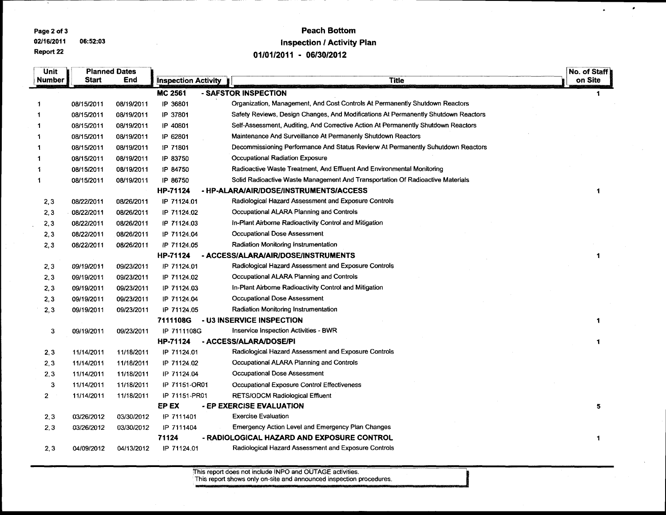Page 2 of 3

02/16/2011 06:52:03 Report 22

## **Peach Bottom Inspection / Activity Plan** 01/01/2011 - 06/30/2012

 $\bullet$ 

 $\mathbf{r}$ 

| <b>Unit</b>    |            | <b>Planned Dates</b> |                            |                                                                                    | No. of Staff |
|----------------|------------|----------------------|----------------------------|------------------------------------------------------------------------------------|--------------|
| <b>Number</b>  | Start      | End                  | <b>Inspection Activity</b> | <b>Title</b>                                                                       | on Site      |
|                |            |                      | <b>MC 2561</b>             | - SAFSTOR INSPECTION                                                               | 1            |
|                | 08/15/2011 | 08/19/2011           | IP 36801                   | Organization, Management, And Cost Controls At Permanently Shutdown Reactors       |              |
|                | 08/15/2011 | 08/19/2011           | IP 37801                   | Safety Reviews, Design Changes, And Modifications At Permanently Shutdown Reactors |              |
|                | 08/15/2011 | 08/19/2011           | IP 40801                   | Self-Assessment, Auditing, And Corrective Action At Permanently Shutdown Reactors  |              |
|                | 08/15/2011 | 08/19/2011           | IP 62801                   | Maintenance And Surveillance At Permanenly Shutdown Reactors                       |              |
|                | 08/15/2011 | 08/19/2011           | IP 71801                   | Decommissioning Performance And Status Revierw At Permanently Suhutdown Reactors   |              |
|                | 08/15/2011 | 08/19/2011           | IP 83750                   | <b>Occupational Radiation Exposure</b>                                             |              |
|                | 08/15/2011 | 08/19/2011           | IP 84750                   | Radioactive Waste Treatment, And Effluent And Environmental Monitoring             |              |
| 1              | 08/15/2011 | 08/19/2011           | IP 86750                   | Solid Radioactive Waste Management And Transportation Of Radioactive Materials     |              |
|                |            |                      | HP-71124                   | - HP-ALARA/AIR/DOSE/INSTRUMENTS/ACCESS                                             | -1           |
| 2,3            | 08/22/2011 | 08/26/2011           | IP 71124.01                | Radiological Hazard Assessment and Exposure Controls                               |              |
| 2,3            | 08/22/2011 | 08/26/2011           | IP 71124.02                | Occupational ALARA Planning and Controls                                           |              |
| 2,3            | 08/22/2011 | 08/26/2011           | IP 71124.03                | In-Plant Airborne Radioactivity Control and Mitigation                             |              |
| 2,3            | 08/22/2011 | 08/26/2011           | IP 71124.04                | <b>Occupational Dose Assessment</b>                                                |              |
| 2,3            | 08/22/2011 | 08/26/2011           | IP 71124.05                | Radiation Monitoring Instrumentation                                               |              |
|                |            |                      | HP-71124                   | - ACCESS/ALARA/AIR/DOSE/INSTRUMENTS                                                | 1            |
| 2, 3           | 09/19/2011 | 09/23/2011           | IP 71124.01                | Radiological Hazard Assessment and Exposure Controls                               |              |
| 2,3            | 09/19/2011 | 09/23/2011           | IP 71124.02                | Occupational ALARA Planning and Controls                                           |              |
| 2, 3           | 09/19/2011 | 09/23/2011           | IP 71124.03                | In-Plant Airborne Radioactivity Control and Mitigation                             |              |
| 2,3            | 09/19/2011 | 09/23/2011           | IP 71124.04                | <b>Occupational Dose Assessment</b>                                                |              |
| 2,3            | 09/19/2011 | 09/23/2011           | IP 71124.05                | Radiation Monitoring Instrumentation                                               |              |
|                |            |                      | 7111108G                   | - U3 INSERVICE INSPECTION                                                          |              |
| 3              | 09/19/2011 | 09/23/2011           | IP 7111108G                | Inservice Inspection Activities - BWR                                              |              |
|                |            |                      | <b>HP-71124</b>            | - ACCESS/ALARA/DOSE/PI                                                             | 1            |
| 2,3            | 11/14/2011 | 11/18/2011           | IP 71124.01                | Radiological Hazard Assessment and Exposure Controls                               |              |
| 2, 3           | 11/14/2011 | 11/18/2011           | IP 71124.02                | Occupational ALARA Planning and Controls                                           |              |
| 2,3            | 11/14/2011 | 11/18/2011           | IP 71124.04                | <b>Occupational Dose Assessment</b>                                                |              |
| 3              | 11/14/2011 | 11/18/2011           | IP 71151-OR01              | Occupational Exposure Control Effectiveness                                        |              |
| $\overline{2}$ | 11/14/2011 | 11/18/2011           | IP 71151-PR01              | <b>RETS/ODCM Radiological Effluent</b>                                             |              |
|                |            |                      | EP EX                      | - EP EXERCISE EVALUATION                                                           | 5            |
| 2,3            | 03/26/2012 | 03/30/2012           | IP 7111401                 | <b>Exercise Evaluation</b>                                                         |              |
| 2, 3           | 03/26/2012 | 03/30/2012           | IP 7111404                 | <b>Emergency Action Level and Emergency Plan Changes</b>                           |              |
|                |            |                      | 71124                      | - RADIOLOGICAL HAZARD AND EXPOSURE CONTROL                                         | $\mathbf{1}$ |
| 2,3            | 04/09/2012 | 04/13/2012           | IP 71124.01                | Radiological Hazard Assessment and Exposure Controls                               |              |

This report does not include INPO and OUTAGE activities.<br>This report shows only on-site and announced inspection procedures.